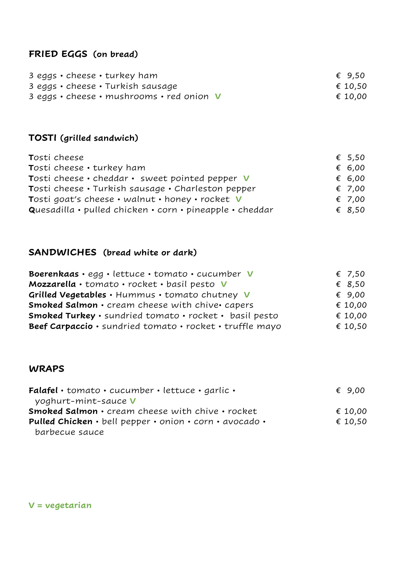## **FRIED EGGS (on bread)**

| 3 eggs $\cdot$ cheese $\cdot$ turkey ham                         | € 9,50  |
|------------------------------------------------------------------|---------|
| 3 eggs • cheese • Turkish sausage                                | € 10,50 |
| 3 eggs $\cdot$ cheese $\cdot$ mushrooms $\cdot$ red onion $\vee$ | € 10,00 |

## **TOSTI (grilled sandwich)**

| Tosti cheese                                                    | € 5,50          |
|-----------------------------------------------------------------|-----------------|
| Tosti cheese • turkey ham                                       | € 6,00          |
| Tosti cheese · cheddar · sweet pointed pepper V                 | € 6,00          |
| Tosti cheese • Turkish sausage • Charleston pepper              | € 7.00          |
| Tosti goat's cheese • walnut • honey • rocket V                 | € 7,00          |
| <b>Quesadilla</b> • pulled chicken • corn • pineapple • cheddar | $\epsilon$ 8,50 |

## **SANDWICHES (bread white or dark)**

| Boerenkaas · egg · lettuce · tomato · cucumber V              | € 7,50  |
|---------------------------------------------------------------|---------|
| Mozzarella · tomato · rocket · basil pesto V                  | € 8,50  |
| Grilled Vegetables · Hummus · tomato chutney V                | € 9,00  |
| Smoked Salmon · cream cheese with chive capers                | € 10,00 |
| <b>Smoked Turkey</b> · sundried tomato · rocket · basil pesto | € 10,00 |
| Beef Carpaccio · sundried tomato · rocket · truffle mayo      | € 10,50 |

### **WRAPS**

| Falafel · tomato · cucumber · lettuce · garlic ·        | $\epsilon$ 9,00 |
|---------------------------------------------------------|-----------------|
| yoghurt-mint-sauce <b>V</b>                             |                 |
| <b>Smoked Salmon · cream cheese with chive · rocket</b> | € 10,00         |
| Pulled Chicken · bell pepper · onion · corn · avocado · | € 10,50         |
| barbecue sauce                                          |                 |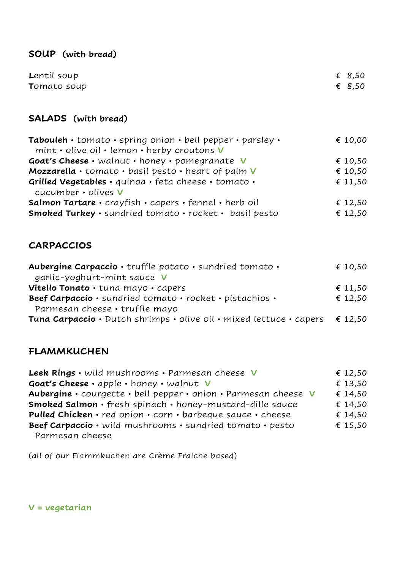#### **SOUP (with bread)**

| Lentil soup         | € 8,50 |
|---------------------|--------|
| <b>T</b> omato soup | € 8,50 |

#### **SALADS (with bread)**

| Tabouleh · tomato · spring onion · bell pepper · parsley ·  | € 10,00 |
|-------------------------------------------------------------|---------|
| $min$ • olive oil • lemon • herby croutons $\boldsymbol{V}$ |         |
| Goat's Cheese · walnut · honey · pomegranate V              | € 10,50 |
| Mozzarella · tomato · basil pesto · heart of palm V         | € 10,50 |
| Grilled Vegetables · quinoa · feta cheese · tomato ·        | € 11,50 |
| cucumber • olives <b>V</b>                                  |         |
| Salmon Tartare · crayfish · capers · fennel · herb oil      | € 12,50 |
| Smoked Turkey · sundried tomato · rocket · basil pesto      | € 12,50 |

#### **CARPACCIOS**

| Aubergine Carpaccio · truffle potato · sundried tomato ·                                    | € 10,50 |
|---------------------------------------------------------------------------------------------|---------|
| garlic-yoghurt-mint sauce <b>V</b>                                                          |         |
| Vitello Tonato · tuna mayo · capers                                                         | € 11,50 |
| Beef Carpaccio · sundried tomato · rocket · pistachios ·                                    | € 12,50 |
| Parmesan cheese • truffle mayo                                                              |         |
| <b>Tuna Carpaccio</b> · Dutch shrimps · olive oil · mixed lettuce · capers $\epsilon$ 12,50 |         |

#### **FLAMMKUCHEN**

**Leek Rings** • wild mushrooms • Parmesan cheese **V** € 12,50 **Goat's Cheese** • apple • honey • walnut **V** € 13,50 **Aubergine** • courgette • bell pepper • onion • Parmesan cheese **V** € 14,50 **Smoked Salmon** • fresh spinach • honey-mustard-dille sauce  $€ 14,50$ **Pulled Chicken** • red onion • corn • barbeque sauce • cheese  $€ 14,50$ **Beef Carpaccio** • wild mushrooms • sundried tomato • pesto  $€ 15,50$ Parmesan cheese

(all of our Flammkuchen are Crème Fraiche based)

**V = vegetarian**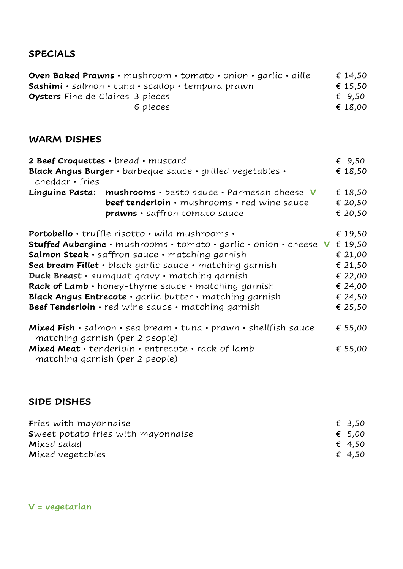#### **SPECIALS**

**Oven Baked Prawns** • mushroom • tomato • onion • garlic • dille  $\epsilon$  14,50 **Sashimi** • salmon • tuna • scallop • tempura prawn € 15,50 **Oysters** Fine de Claires 3 pieces **€** 9,50 6 pieces  $\epsilon$  18,00

#### **WARM DISHES**

| 2 Beef Croquettes · bread · mustard<br>€ $9,50$                                                                |                                                                                                                                                                                                                                                                                                                                                                                                                                                                         |  |                                                                                      |  |  |
|----------------------------------------------------------------------------------------------------------------|-------------------------------------------------------------------------------------------------------------------------------------------------------------------------------------------------------------------------------------------------------------------------------------------------------------------------------------------------------------------------------------------------------------------------------------------------------------------------|--|--------------------------------------------------------------------------------------|--|--|
| cheddar • fries                                                                                                | Black Angus Burger · barbeque sauce · grilled vegetables ·                                                                                                                                                                                                                                                                                                                                                                                                              |  | € 18,50                                                                              |  |  |
| Linguine Pasta:                                                                                                | mushrooms · pesto sauce · Parmesan cheese V<br>beef tenderloin · mushrooms · red wine sauce<br>prawns · saffron tomato sauce                                                                                                                                                                                                                                                                                                                                            |  | € 18,50<br>€ 20,50<br>€ 20,50                                                        |  |  |
|                                                                                                                | <b>Portobello</b> • truffle risotto • wild mushrooms •<br>Stuffed Aubergine · mushrooms · tomato · garlic · onion · cheese V<br>Salmon Steak · saffron sauce · matching garnish<br>Sea bream Fillet · black garlic sauce · matching garnish<br>Duck Breast · kumquat gravy · matching garnish<br>Rack of Lamb · honey-thyme sauce · matching garnish<br>Black Angus Entrecote · garlic butter · matching garnish<br>Beef Tenderloin · red wine sauce · matching garnish |  | € 19,50<br>€ 19,50<br>€ 21,00<br>€ 21,50<br>€ 22,00<br>€ 24,00<br>€ 24,50<br>€ 25,50 |  |  |
| Mixed Fish · salmon · sea bream · tuna · prawn · shellfish sauce<br>€ 55,00<br>matching garnish (per 2 people) |                                                                                                                                                                                                                                                                                                                                                                                                                                                                         |  |                                                                                      |  |  |

| Mixed Meat · tenderloin · entrecote · rack of lamb |  |  |  |  | € 55,00 |
|----------------------------------------------------|--|--|--|--|---------|
| matching garnish (per 2 people)                    |  |  |  |  |         |

#### **SIDE DISHES**

| <b>Fries with mayonnaise</b>       | € 3,50 |
|------------------------------------|--------|
| Sweet potato fries with mayonnaise | € 5,00 |
| Mixed salad                        | € 4,50 |
| Mixed vegetables                   | € 4,50 |